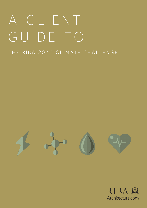# A Client Guide to the 2030 RIBA Climate Challenge **1** A C L I E N T GUIDE TO THE RIBA 2030 CLIMATE CHALLENGE



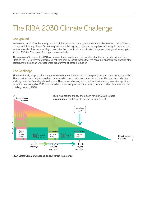# The RIBA 2030 Climate Challenge

# **Background**

In the summer of 2019, the RIBA joined the global declaration of an environment and climate emergency. Climate change and the inequalities of its consequences are the biggest challenges facing the world today. It is vital that all sectors shoulder their responsibility to minimise their contributions to climate change and limit global warming to within 1.5°C rise. The costs of failing to do so are high.

The remaining 9 years until 2030 play a critical role in achieving this ambition, but the journey doesn't end there. Meeting the UK Government legislated net zero goal by 2050, means that the construction industry, alongside other sectors, must deliver an unprecedented programme of carbon reduction.

### **The Challenge**

The RIBA has developed voluntary performance targets for operational energy use, water use and embodied carbon. These performance targets have been developed in consultation with other professional UK construction bodies and align with the future legislative horizon. They set out challenging but achievable trajectory to realise significant reductions necessary by 2030 in order to have a realistic prospect of achieving net zero carbon for the whole UK building stock by 2050.



**RIBA 2030 Climate Challenge** *as built* **target trajectories**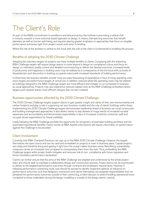# The Client's Role

As part of the RIBA's commitment to excellence and ethical practice, the Institute is promoting a radical shift in industry towards a more outcome-based approach to design. It means, championing outcomes that benefit planetary as well as human well-being; and requires placing greater emphasis on approaches that focus on tangible performance outcomes right from project outset, even prior to briefing.

Whilst the role of the architect is central to this focal shift, the role of the client is fundamental to enabling the process.

### **Benefits of adopting the 2030 Climate Challenge**

Adopting the voluntary targets on projects can have multiple benefits to clients. Complying with the stretching RIBA Challenge targets will require design teams to move beyond a design-to-compliance culture and focus on design co-ordination, quality control and detailed commissioning to deliver the desired outcomes. Increased levels of productivity and happiness in building users may be realised as a consequence of this the focal shift, as levels of dissatisfaction and discomfort in building occupants reduce with increased standards of building performance.

Furthermore, the business benefits include more accurate forecasting of expenditure in face of rising operating costs since targets are *performance* targets of *actual* use. In addition, reduced whole life operating costs may be realised as buildings designed to the RIBA Challenge targets are more efficient and cheaper to run compared to businessas-usual approaches. Projects may also experience reduced capital costs as the RIBA Challenge embodied carbon targets push towards leaner, more efficient designs that use less material.

### **Business opportunities afforded by the 2030 Climate Challenge**

The 2030 Climate Challenge targets support clients to gain greater insight and clarity of their own environmental and carbon footprint and play a role in supporting net zero business models and the role of clients' buildings within these. Implementing the 2030 Climate Challenge targets demonstrates leadership ahead of business-as-usual construction and building management approaches. It also allows clients to stay abreast of mega trends of increased societal awareness and accountability and demonstrate responsibility in face of increased customer, consumer, staff and occupier driven expectations for brand credibility.

Lastly, following the RIBA Challenge provides the opportunity for recognition of exemplar building portfolios and the associated reputational benefits. Future rounds of RIBA Awards submissions will require information on performance against the Challenge to be provided.

# **Client Involvement**

Currently, only RIBA Chartered Practices can sign up to the RIBA 2030 Climate Challenge. However, the targets themselves are open source and can be used and embedded on projects or even in business plans. Capital projects are costly, and therefore doing and getting it right from the outset makes business sense. Retrofitting sustainability measures carries an increased cost compared to incorporating them from the start. Thus, embedding the RIBA Challenge targets within project briefs mitigates and removes risk of non- compliance with future regulation and future mandatory performance declaration.

Clients can further ensure that the aims of the RIBA Challenge are adopted and understood by the whole project team and should seek to mandate a collaborative design and construction process. Project teams can be incentivised to deliver to the targeted performance outcomes through contracts and employers' requirements. However, if following performance contracting route, care should be excised to identify respective spheres of influence on performance outcomes such that designers, contractors and clients themselves are assigned responsibilities and not penalised for performance outcomes outside of their control (e.g. a client decision to extend building operational hours compared to those undertaken during the design modelling is outside of the design teams' control).